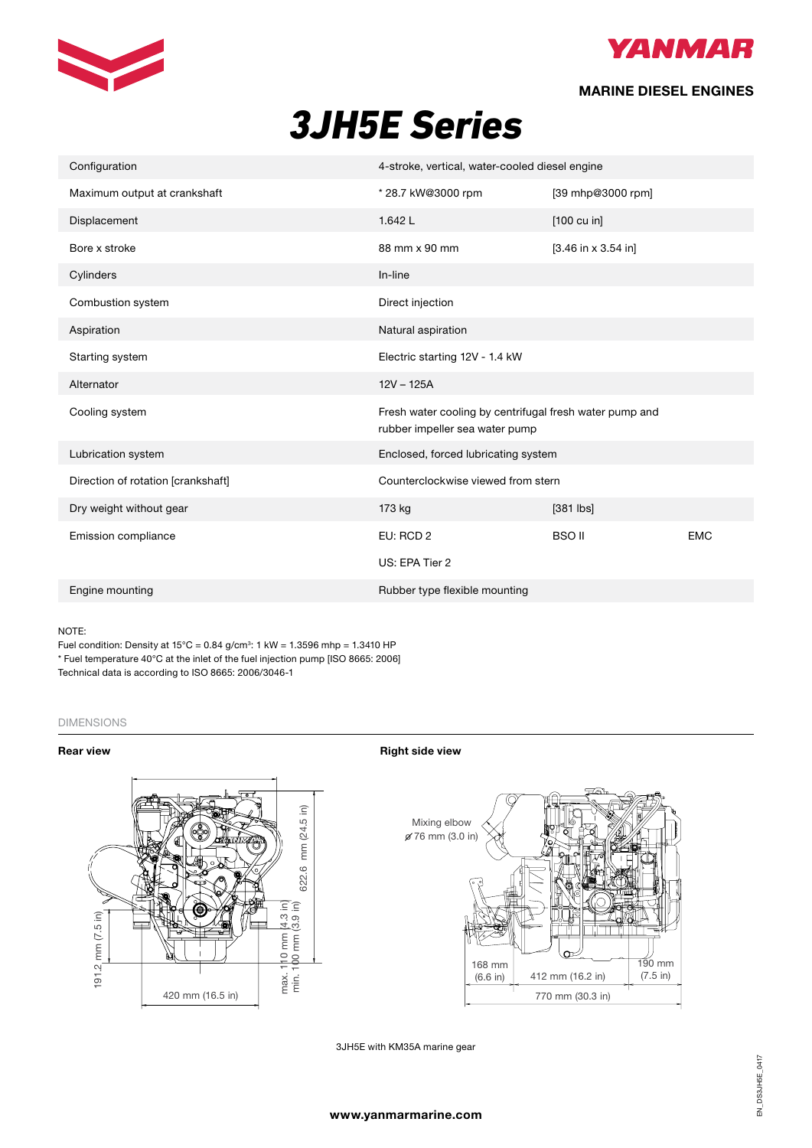



## **MARINE DIESEL ENGINES**

# *3JH5E Series*

| Configuration                      | 4-stroke, vertical, water-cooled diesel engine                                            |                       |            |  |  |
|------------------------------------|-------------------------------------------------------------------------------------------|-----------------------|------------|--|--|
| Maximum output at crankshaft       | * 28.7 kW@3000 rpm                                                                        | [39 mhp@3000 rpm]     |            |  |  |
| Displacement                       | 1.642L                                                                                    | [100 cu in]           |            |  |  |
| Bore x stroke                      | 88 mm x 90 mm                                                                             | $[3.46$ in x 3.54 in] |            |  |  |
| Cylinders                          | In-line                                                                                   |                       |            |  |  |
| Combustion system                  | Direct injection                                                                          |                       |            |  |  |
| Aspiration                         | Natural aspiration                                                                        |                       |            |  |  |
| Starting system                    | Electric starting 12V - 1.4 kW                                                            |                       |            |  |  |
| Alternator                         | $12V - 125A$                                                                              |                       |            |  |  |
| Cooling system                     | Fresh water cooling by centrifugal fresh water pump and<br>rubber impeller sea water pump |                       |            |  |  |
| Lubrication system                 | Enclosed, forced lubricating system                                                       |                       |            |  |  |
| Direction of rotation [crankshaft] | Counterclockwise viewed from stern                                                        |                       |            |  |  |
| Dry weight without gear            | 173 kg                                                                                    | $[381$ lbs]           |            |  |  |
| Emission compliance                | EU: RCD 2                                                                                 | <b>BSO II</b>         | <b>EMC</b> |  |  |
|                                    | US: EPA Tier 2                                                                            |                       |            |  |  |
| Engine mounting                    | Rubber type flexible mounting                                                             |                       |            |  |  |

## NOTE:

NOTE:<br>Fuel condition: Density at 15°C = 0.84 g/cm<sup>3</sup>: 1 kW = 1.3596 mhp = 1.3410 HP \* Fuel temperature 40°C at the inlet of the fuel injection pump [ISO 8665: 2006] Technical data is according to ISO 8665: 2006/3046-1

## DIMENSIONS

**From The Properties Allen Contracts Contracts Contracts Right side view Right side view Right side view Right Side view Right Side view Right Side view Right Side view Right Side view Right Side view Right Side view Right** 



3JH5E with KM35A marine gear